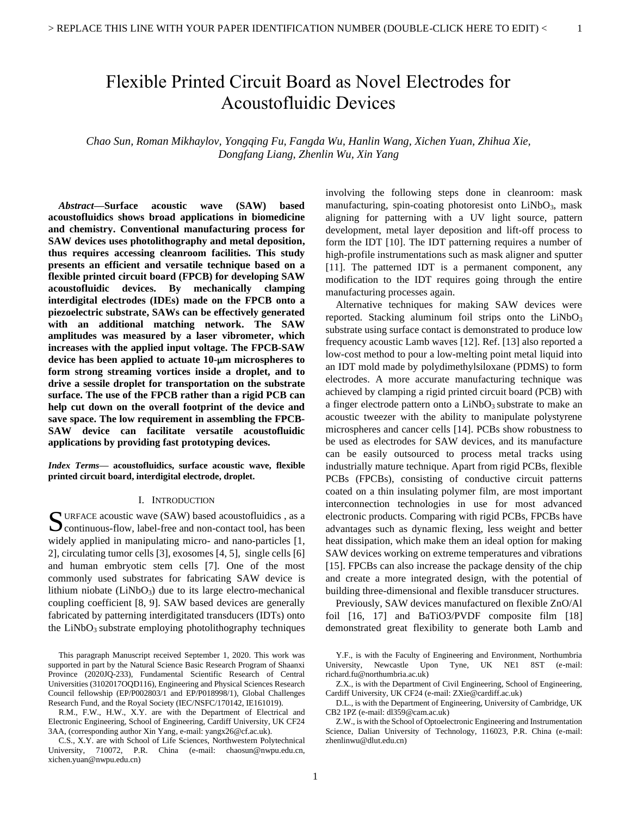# Flexible Printed Circuit Board as Novel Electrodes for Acoustofluidic Devices

*Chao Sun, Roman Mikhaylov, Yongqing Fu, Fangda Wu, Hanlin Wang, Xichen Yuan, Zhihua Xie, Dongfang Liang, Zhenlin Wu, Xin Yang*

*Abstract***—Surface acoustic wave (SAW) based acoustofluidics shows broad applications in biomedicine and chemistry. Conventional manufacturing process for SAW devices uses photolithography and metal deposition, thus requires accessing cleanroom facilities. This study presents an efficient and versatile technique based on a flexible printed circuit board (FPCB) for developing SAW acoustofluidic devices. By mechanically clamping interdigital electrodes (IDEs) made on the FPCB onto a piezoelectric substrate, SAWs can be effectively generated with an additional matching network. The SAW amplitudes was measured by a laser vibrometer, which increases with the applied input voltage. The FPCB-SAW device has been applied to actuate 10-m microspheres to form strong streaming vortices inside a droplet, and to drive a sessile droplet for transportation on the substrate surface. The use of the FPCB rather than a rigid PCB can help cut down on the overall footprint of the device and save space. The low requirement in assembling the FPCB-SAW device can facilitate versatile acoustofluidic applications by providing fast prototyping devices.**

*Index Terms***— acoustofluidics, surface acoustic wave, flexible printed circuit board, interdigital electrode, droplet.**

#### I. INTRODUCTION

URFACE acoustic wave (SAW) based acoustofluidics , as a SURFACE acoustic wave (SAW) based acoustofluidics, as a continuous-flow, label-free and non-contact tool, has been widely applied in manipulating micro- and nano-particles [1, 2], circulating tumor cells [3], exosomes [4, 5], single cells [6] and human embryotic stem cells [7]. One of the most commonly used substrates for fabricating SAW device is lithium niobate  $(LiNbO<sub>3</sub>)$  due to its large electro-mechanical coupling coefficient [8, 9]. SAW based devices are generally fabricated by patterning interdigitated transducers (IDTs) onto the  $LiNbO<sub>3</sub>$  substrate employing photolithography techniques

involving the following steps done in cleanroom: mask manufacturing, spin-coating photoresist onto LiNbO<sub>3</sub>, mask aligning for patterning with a UV light source, pattern development, metal layer deposition and lift-off process to form the IDT [10]. The IDT patterning requires a number of high-profile instrumentations such as mask aligner and sputter [11]. The patterned IDT is a permanent component, any modification to the IDT requires going through the entire manufacturing processes again.

Alternative techniques for making SAW devices were reported. Stacking aluminum foil strips onto the  $LiNbO<sub>3</sub>$ substrate using surface contact is demonstrated to produce low frequency acoustic Lamb waves [12]. Ref. [13] also reported a low-cost method to pour a low-melting point metal liquid into an IDT mold made by polydimethylsiloxane (PDMS) to form electrodes. A more accurate manufacturing technique was achieved by clamping a rigid printed circuit board (PCB) with a finger electrode pattern onto a LiNbO<sub>3</sub> substrate to make an acoustic tweezer with the ability to manipulate polystyrene microspheres and cancer cells [14]. PCBs show robustness to be used as electrodes for SAW devices, and its manufacture can be easily outsourced to process metal tracks using industrially mature technique. Apart from rigid PCBs, flexible PCBs (FPCBs), consisting of conductive circuit patterns coated on a thin insulating polymer film, are most important interconnection technologies in use for most advanced electronic products. Comparing with rigid PCBs, FPCBs have advantages such as dynamic flexing, less weight and better heat dissipation, which make them an ideal option for making SAW devices working on extreme temperatures and vibrations [15]. FPCBs can also increase the package density of the chip and create a more integrated design, with the potential of building three-dimensional and flexible transducer structures.

Previously, SAW devices manufactured on flexible ZnO/Al foil [16, 17] and BaTiO3/PVDF composite film [18] demonstrated great flexibility to generate both Lamb and

This paragraph Manuscript received September 1, 2020. This work was supported in part by the Natural Science Basic Research Program of Shaanxi Province (2020JQ-233), Fundamental Scientific Research of Central Universities (3102017OQD116), Engineering and Physical Sciences Research Council fellowship (EP/P002803/1 and EP/P018998/1), Global Challenges Research Fund, and the Royal Society (IEC/NSFC/170142, IE161019).

R.M., F.W., H.W., X.Y. are with the Department of Electrical and Electronic Engineering, School of Engineering, Cardiff University, UK CF24 3AA, (corresponding author Xin Yang, e-mail: yangx26@cf.ac.uk).

C.S., X.Y. are with School of Life Sciences, Northwestern Polytechnical University, 710072, P.R. China (e-mail: chaosun@nwpu.edu.cn, xichen.yuan@nwpu.edu.cn)

Y.F., is with the Faculty of Engineering and Environment, Northumbria University, Newcastle Upon Tyne, UK NE1 8ST (e-mail: [richard.fu@northumbria.ac.uk\)](mailto:richard.fu@northumbria.ac.uk)

Z.X., is with the Department of Civil Engineering, School of Engineering, Cardiff University, UK CF24 (e-mail[: ZXie@cardiff.ac.uk\)](mailto:ZXie@cardiff.ac.uk)

D.L., is with the Department of Engineering, University of Cambridge, UK CB2 1PZ (e-mail[: dl359@cam.ac.uk\)](mailto:dl359@cam.ac.uk)

Z.W., is with the School of Optoelectronic Engineering and Instrumentation Science, Dalian University of Technology, 116023, P.R. China (e-mail: zhenlinwu@dlut.edu.cn)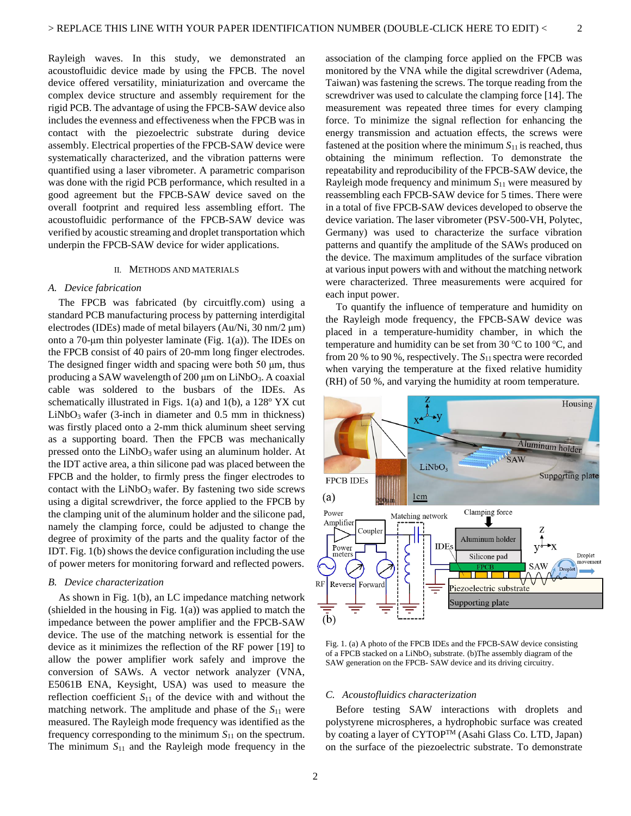Rayleigh waves. In this study, we demonstrated an acoustofluidic device made by using the FPCB. The novel device offered versatility, miniaturization and overcame the complex device structure and assembly requirement for the rigid PCB. The advantage of using the FPCB-SAW device also includes the evenness and effectiveness when the FPCB was in contact with the piezoelectric substrate during device assembly. Electrical properties of the FPCB-SAW device were systematically characterized, and the vibration patterns were quantified using a laser vibrometer. A parametric comparison was done with the rigid PCB performance, which resulted in a good agreement but the FPCB-SAW device saved on the overall footprint and required less assembling effort. The acoustofluidic performance of the FPCB-SAW device was verified by acoustic streaming and droplet transportation which underpin the FPCB-SAW device for wider applications.

### II. METHODS AND MATERIALS

## *A. Device fabrication*

The FPCB was fabricated (by circuitfly.com) using a standard PCB manufacturing process by patterning interdigital electrodes (IDEs) made of metal bilayers (Au/Ni, 30 nm/2 μm) onto a 70-μm thin polyester laminate (Fig. 1(a)). The IDEs on the FPCB consist of 40 pairs of 20-mm long finger electrodes. The designed finger width and spacing were both 50 μm, thus producing a SAW wavelength of 200  $\mu$ m on LiNbO<sub>3</sub>. A coaxial cable was soldered to the busbars of the IDEs. As schematically illustrated in Figs.  $1(a)$  and  $1(b)$ , a  $128°$  YX cut  $LiNbO<sub>3</sub>$  wafer (3-inch in diameter and 0.5 mm in thickness) was firstly placed onto a 2-mm thick aluminum sheet serving as a supporting board. Then the FPCB was mechanically pressed onto the LiNbO<sub>3</sub> wafer using an aluminum holder. At the IDT active area, a thin silicone pad was placed between the FPCB and the holder, to firmly press the finger electrodes to contact with the  $LiNbO<sub>3</sub>$  wafer. By fastening two side screws using a digital screwdriver, the force applied to the FPCB by the clamping unit of the aluminum holder and the silicone pad, namely the clamping force, could be adjusted to change the degree of proximity of the parts and the quality factor of the IDT. Fig. 1(b) shows the device configuration including the use of power meters for monitoring forward and reflected powers.

## *B. Device characterization*

As shown in Fig. 1(b), an LC impedance matching network (shielded in the housing in Fig.  $1(a)$ ) was applied to match the impedance between the power amplifier and the FPCB-SAW device. The use of the matching network is essential for the device as it minimizes the reflection of the RF power [19] to allow the power amplifier work safely and improve the conversion of SAWs. A vector network analyzer (VNA, E5061B ENA, Keysight, USA) was used to measure the reflection coefficient *S*<sup>11</sup> of the device with and without the matching network. The amplitude and phase of the *S*<sup>11</sup> were measured. The Rayleigh mode frequency was identified as the frequency corresponding to the minimum  $S<sub>11</sub>$  on the spectrum. The minimum *S*<sup>11</sup> and the Rayleigh mode frequency in the association of the clamping force applied on the FPCB was monitored by the VNA while the digital screwdriver (Adema, Taiwan) was fastening the screws. The torque reading from the screwdriver was used to calculate the clamping force [14]. The measurement was repeated three times for every clamping force. To minimize the signal reflection for enhancing the energy transmission and actuation effects, the screws were fastened at the position where the minimum *S*11 is reached, thus obtaining the minimum reflection. To demonstrate the repeatability and reproducibility of the FPCB-SAW device, the Rayleigh mode frequency and minimum *S*<sup>11</sup> were measured by reassembling each FPCB-SAW device for 5 times. There were in a total of five FPCB-SAW devices developed to observe the device variation. The laser vibrometer (PSV-500-VH, Polytec, Germany) was used to characterize the surface vibration patterns and quantify the amplitude of the SAWs produced on the device. The maximum amplitudes of the surface vibration at various input powers with and without the matching network were characterized. Three measurements were acquired for each input power.

2

To quantify the influence of temperature and humidity on the Rayleigh mode frequency, the FPCB-SAW device was placed in a temperature-humidity chamber, in which the temperature and humidity can be set from 30  $\mathrm{^{\circ}C}$  to 100  $\mathrm{^{\circ}C}$ , and from 20 % to 90 %, respectively. The *S*11 spectra were recorded when varying the temperature at the fixed relative humidity (RH) of 50 %, and varying the humidity at room temperature.



Fig. 1. (a) A photo of the FPCB IDEs and the FPCB-SAW device consisting of a FPCB stacked on a LiNbO<sub>3</sub> substrate. (b)The assembly diagram of the SAW generation on the FPCB- SAW device and its driving circuitry.

### *C. Acoustofluidics characterization*

Before testing SAW interactions with droplets and polystyrene microspheres, a hydrophobic surface was created by coating a layer of CYTOP<sup>TM</sup> (Asahi Glass Co. LTD, Japan) on the surface of the piezoelectric substrate. To demonstrate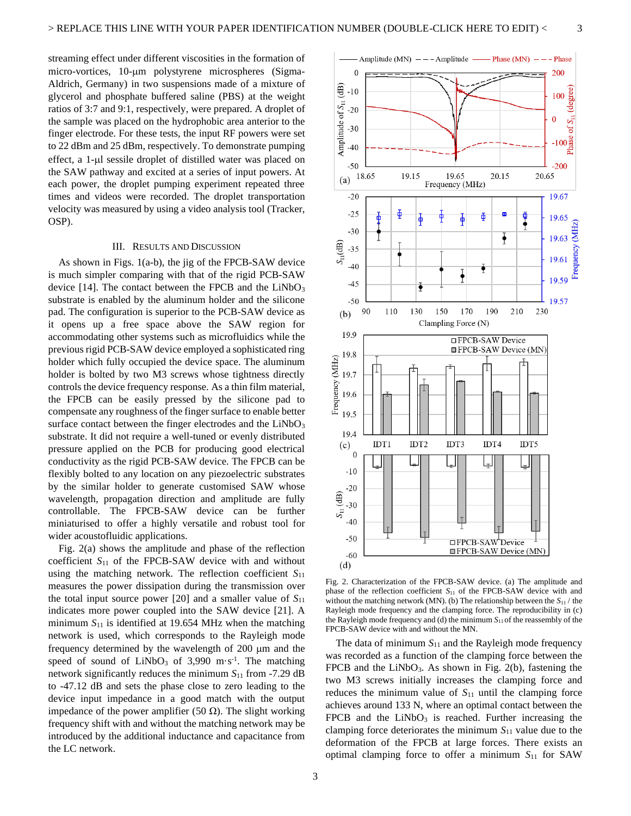streaming effect under different viscosities in the formation of micro-vortices, 10-um polystyrene microspheres (Sigma-Aldrich, Germany) in two suspensions made of a mixture of glycerol and phosphate buffered saline (PBS) at the weight ratios of 3:7 and 9:1, respectively, were prepared. A droplet of the sample was placed on the hydrophobic area anterior to the finger electrode. For these tests, the input RF powers were set to 22 dBm and 25 dBm, respectively. To demonstrate pumping effect, a 1-µl sessile droplet of distilled water was placed on the SAW pathway and excited at a series of input powers. At each power, the droplet pumping experiment repeated three times and videos were recorded. The droplet transportation velocity was measured by using a video analysis tool (Tracker, OSP).

#### III. RESULTS AND DISCUSSION

As shown in Figs. 1(a-b), the jig of the FPCB-SAW device is much simpler comparing with that of the rigid PCB-SAW device [14]. The contact between the FPCB and the  $LiNbO<sub>3</sub>$ substrate is enabled by the aluminum holder and the silicone pad. The configuration is superior to the PCB-SAW device as it opens up a free space above the SAW region for accommodating other systems such as microfluidics while the previous rigid PCB-SAW device employed a sophisticated ring holder which fully occupied the device space. The aluminum holder is bolted by two M3 screws whose tightness directly controls the device frequency response. As a thin film material, the FPCB can be easily pressed by the silicone pad to compensate any roughness of the finger surface to enable better surface contact between the finger electrodes and the  $LiNbO<sub>3</sub>$ substrate. It did not require a well-tuned or evenly distributed pressure applied on the PCB for producing good electrical conductivity as the rigid PCB-SAW device. The FPCB can be flexibly bolted to any location on any piezoelectric substrates by the similar holder to generate customised SAW whose wavelength, propagation direction and amplitude are fully controllable. The FPCB-SAW device can be further miniaturised to offer a highly versatile and robust tool for wider acoustofluidic applications.

Fig. 2(a) shows the amplitude and phase of the reflection coefficient *S*<sup>11</sup> of the FPCB-SAW device with and without using the matching network. The reflection coefficient *S*<sup>11</sup> measures the power dissipation during the transmission over the total input source power  $[20]$  and a smaller value of  $S_{11}$ indicates more power coupled into the SAW device [21]. A minimum  $S_{11}$  is identified at 19.654 MHz when the matching network is used, which corresponds to the Rayleigh mode frequency determined by the wavelength of  $200 \mu m$  and the speed of sound of  $LiNbO<sub>3</sub>$  of 3,990 m·s<sup>-1</sup>. The matching network significantly reduces the minimum  $S_{11}$  from -7.29 dB to -47.12 dB and sets the phase close to zero leading to the device input impedance in a good match with the output impedance of the power amplifier (50 Ω). The slight working frequency shift with and without the matching network may be introduced by the additional inductance and capacitance from the LC network.



Fig. 2. Characterization of the FPCB-SAW device. (a) The amplitude and phase of the reflection coefficient *S*<sup>11</sup> of the FPCB-SAW device with and without the matching network (MN). (b) The relationship between the *S*<sup>11</sup> / the Rayleigh mode frequency and the clamping force. The reproducibility in (c) the Rayleigh mode frequency and (d) the minimum  $S<sub>11</sub>$  of the reassembly of the FPCB-SAW device with and without the MN.

The data of minimum *S*<sup>11</sup> and the Rayleigh mode frequency was recorded as a function of the clamping force between the FPCB and the  $LiNbO<sub>3</sub>$ . As shown in Fig. 2(b), fastening the two M3 screws initially increases the clamping force and reduces the minimum value of  $S_{11}$  until the clamping force achieves around 133 N, where an optimal contact between the FPCB and the  $LiNbO<sub>3</sub>$  is reached. Further increasing the clamping force deteriorates the minimum  $S<sub>11</sub>$  value due to the deformation of the FPCB at large forces. There exists an optimal clamping force to offer a minimum *S*<sup>11</sup> for SAW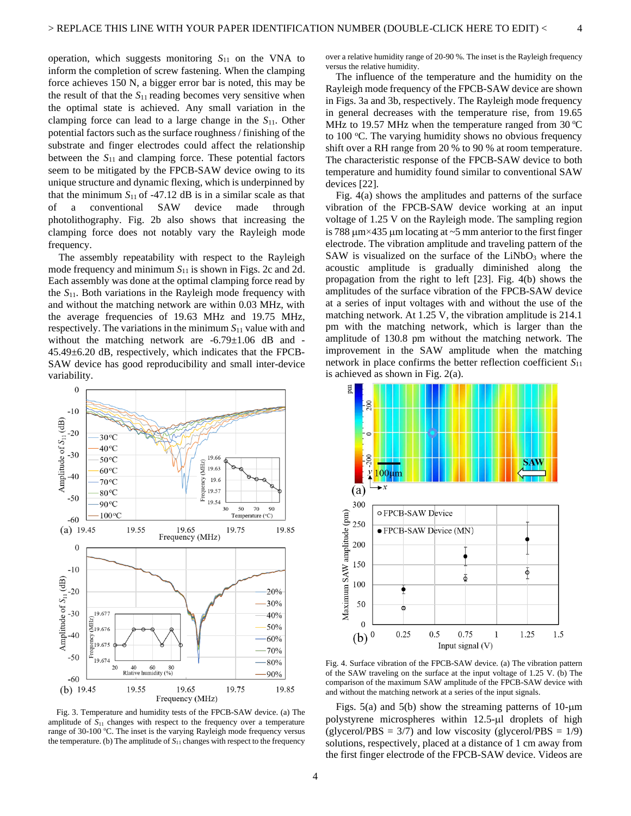operation, which suggests monitoring  $S_{11}$  on the VNA to inform the completion of screw fastening. When the clamping force achieves 150 N, a bigger error bar is noted, this may be the result of that the  $S_{11}$  reading becomes very sensitive when the optimal state is achieved. Any small variation in the clamping force can lead to a large change in the *S*11. Other potential factors such as the surface roughness / finishing of the substrate and finger electrodes could affect the relationship between the  $S_{11}$  and clamping force. These potential factors seem to be mitigated by the FPCB-SAW device owing to its unique structure and dynamic flexing, which is underpinned by that the minimum  $S_{11}$  of  $-47.12$  dB is in a similar scale as that of a conventional SAW device made through photolithography. Fig. 2b also shows that increasing the clamping force does not notably vary the Rayleigh mode frequency.

The assembly repeatability with respect to the Rayleigh mode frequency and minimum  $S_{11}$  is shown in Figs. 2c and 2d. Each assembly was done at the optimal clamping force read by the *S*11. Both variations in the Rayleigh mode frequency with and without the matching network are within 0.03 MHz, with the average frequencies of 19.63 MHz and 19.75 MHz, respectively. The variations in the minimum *S*<sup>11</sup> value with and without the matching network are -6.79±1.06 dB and -45.49±6.20 dB, respectively, which indicates that the FPCB-SAW device has good reproducibility and small inter-device variability.



Fig. 3. Temperature and humidity tests of the FPCB-SAW device. (a) The amplitude of *S*<sup>11</sup> changes with respect to the frequency over a temperature range of 30-100 °C. The inset is the varying Rayleigh mode frequency versus the temperature. (b) The amplitude of *S*<sup>11</sup> changes with respect to the frequency

over a relative humidity range of 20-90 %. The inset is the Rayleigh frequency versus the relative humidity.

4

The influence of the temperature and the humidity on the Rayleigh mode frequency of the FPCB-SAW device are shown in Figs. 3a and 3b, respectively. The Rayleigh mode frequency in general decreases with the temperature rise, from 19.65 MHz to 19.57 MHz when the temperature ranged from  $30^{\circ}$ C to 100 °C. The varying humidity shows no obvious frequency shift over a RH range from 20 % to 90 % at room temperature. The characteristic response of the FPCB-SAW device to both temperature and humidity found similar to conventional SAW devices [22].

Fig. 4(a) shows the amplitudes and patterns of the surface vibration of the FPCB-SAW device working at an input voltage of 1.25 V on the Rayleigh mode. The sampling region is 788  $\mu$ m×435  $\mu$ m locating at ~5 mm anterior to the first finger electrode. The vibration amplitude and traveling pattern of the SAW is visualized on the surface of the  $LiNbO<sub>3</sub>$  where the acoustic amplitude is gradually diminished along the propagation from the right to left [23]. Fig. 4(b) shows the amplitudes of the surface vibration of the FPCB-SAW device at a series of input voltages with and without the use of the matching network. At 1.25 V, the vibration amplitude is 214.1 pm with the matching network, which is larger than the amplitude of 130.8 pm without the matching network. The improvement in the SAW amplitude when the matching network in place confirms the better reflection coefficient *S*<sup>11</sup> is achieved as shown in Fig. 2(a).



Fig. 4. Surface vibration of the FPCB-SAW device. (a) The vibration pattern of the SAW traveling on the surface at the input voltage of 1.25 V. (b) The comparison of the maximum SAW amplitude of the FPCB-SAW device with and without the matching network at a series of the input signals.

Figs.  $5(a)$  and  $5(b)$  show the streaming patterns of 10- $\mu$ m polystyrene microspheres within 12.5-µl droplets of high (glycerol/PBS =  $3/7$ ) and low viscosity (glycerol/PBS =  $1/9$ ) solutions, respectively, placed at a distance of 1 cm away from the first finger electrode of the FPCB-SAW device. Videos are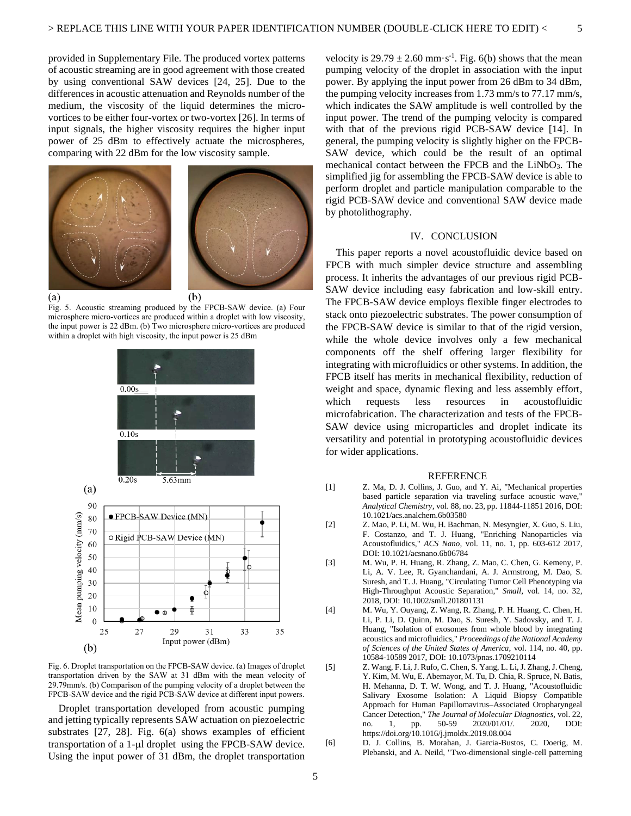provided in Supplementary File. The produced vortex patterns of acoustic streaming are in good agreement with those created by using conventional SAW devices [24, 25]. Due to the differences in acoustic attenuation and Reynolds number of the medium, the viscosity of the liquid determines the microvortices to be either four-vortex or two-vortex [26]. In terms of input signals, the higher viscosity requires the higher input power of 25 dBm to effectively actuate the microspheres, comparing with 22 dBm for the low viscosity sample.



Fig. 5. Acoustic streaming produced by the FPCB-SAW device. (a) Four microsphere micro-vortices are produced within a droplet with low viscosity, the input power is 22 dBm. (b) Two microsphere micro-vortices are produced within a droplet with high viscosity, the input power is 25 dBm



Fig. 6. Droplet transportation on the FPCB-SAW device. (a) Images of droplet transportation driven by the SAW at 31 dBm with the mean velocity of 29.79mm/s. (b) Comparison of the pumping velocity of a droplet between the FPCB-SAW device and the rigid PCB-SAW device at different input powers.

Droplet transportation developed from acoustic pumping and jetting typically represents SAW actuation on piezoelectric substrates [27, 28]. Fig. 6(a) shows examples of efficient transportation of a 1-µl droplet using the FPCB-SAW device. Using the input power of 31 dBm, the droplet transportation

velocity is  $29.79 \pm 2.60$  mm·s<sup>-1</sup>. Fig. 6(b) shows that the mean pumping velocity of the droplet in association with the input power. By applying the input power from 26 dBm to 34 dBm, the pumping velocity increases from 1.73 mm/s to 77.17 mm/s, which indicates the SAW amplitude is well controlled by the input power. The trend of the pumping velocity is compared with that of the previous rigid PCB-SAW device [14]. In general, the pumping velocity is slightly higher on the FPCB-SAW device, which could be the result of an optimal mechanical contact between the FPCB and the  $LiNbO<sub>3</sub>$ . The simplified jig for assembling the FPCB-SAW device is able to perform droplet and particle manipulation comparable to the rigid PCB-SAW device and conventional SAW device made by photolithography.

# IV. CONCLUSION

This paper reports a novel acoustofluidic device based on FPCB with much simpler device structure and assembling process. It inherits the advantages of our previous rigid PCB-SAW device including easy fabrication and low-skill entry. The FPCB-SAW device employs flexible finger electrodes to stack onto piezoelectric substrates. The power consumption of the FPCB-SAW device is similar to that of the rigid version, while the whole device involves only a few mechanical components off the shelf offering larger flexibility for integrating with microfluidics or other systems. In addition, the FPCB itself has merits in mechanical flexibility, reduction of weight and space, dynamic flexing and less assembly effort, which requests less resources in acoustofluidic microfabrication. The characterization and tests of the FPCB-SAW device using microparticles and droplet indicate its versatility and potential in prototyping acoustofluidic devices for wider applications.

#### **REFERENCE**

- [1] Z. Ma, D. J. Collins, J. Guo, and Y. Ai, "Mechanical properties based particle separation via traveling surface acoustic wave," *Analytical Chemistry,* vol. 88, no. 23, pp. 11844-11851 2016, DOI: 10.1021/acs.analchem.6b03580
- [2] Z. Mao, P. Li, M. Wu, H. Bachman, N. Mesyngier, X. Guo, S. Liu, F. Costanzo, and T. J. Huang, "Enriching Nanoparticles via Acoustofluidics," *ACS Nano,* vol. 11, no. 1, pp. 603-612 2017, DOI: 10.1021/acsnano.6b06784
- [3] M. Wu, P. H. Huang, R. Zhang, Z. Mao, C. Chen, G. Kemeny, P. Li, A. V. Lee, R. Gyanchandani, A. J. Armstrong, M. Dao, S. Suresh, and T. J. Huang, "Circulating Tumor Cell Phenotyping via High-Throughput Acoustic Separation," *Small,* vol. 14, no. 32, 2018, DOI: 10.1002/smll.201801131
- [4] M. Wu, Y. Ouyang, Z. Wang, R. Zhang, P. H. Huang, C. Chen, H. Li, P. Li, D. Quinn, M. Dao, S. Suresh, Y. Sadovsky, and T. J. Huang, "Isolation of exosomes from whole blood by integrating acoustics and microfluidics," *Proceedings of the National Academy of Sciences of the United States of America,* vol. 114, no. 40, pp. 10584-10589 2017, DOI: 10.1073/pnas.1709210114
- [5] Z. Wang, F. Li, J. Rufo, C. Chen, S. Yang, L. Li, J. Zhang, J. Cheng, Y. Kim, M. Wu, E. Abemayor, M. Tu, D. Chia, R. Spruce, N. Batis, H. Mehanna, D. T. W. Wong, and T. J. Huang, "Acoustofluidic Salivary Exosome Isolation: A Liquid Biopsy Compatible Approach for Human Papillomavirus–Associated Oropharyngeal Cancer Detection," *The Journal of Molecular Diagnostics, vol.* 22, no. 1, pp. 50-59 2020/01/01/. 2020, DOI: no. 1, pp. 50-59 2020/01/01/. <https://doi.org/10.1016/j.jmoldx.2019.08.004>
- [6] D. J. Collins, B. Morahan, J. Garcia-Bustos, C. Doerig, M. Plebanski, and A. Neild, "Two-dimensional single-cell patterning